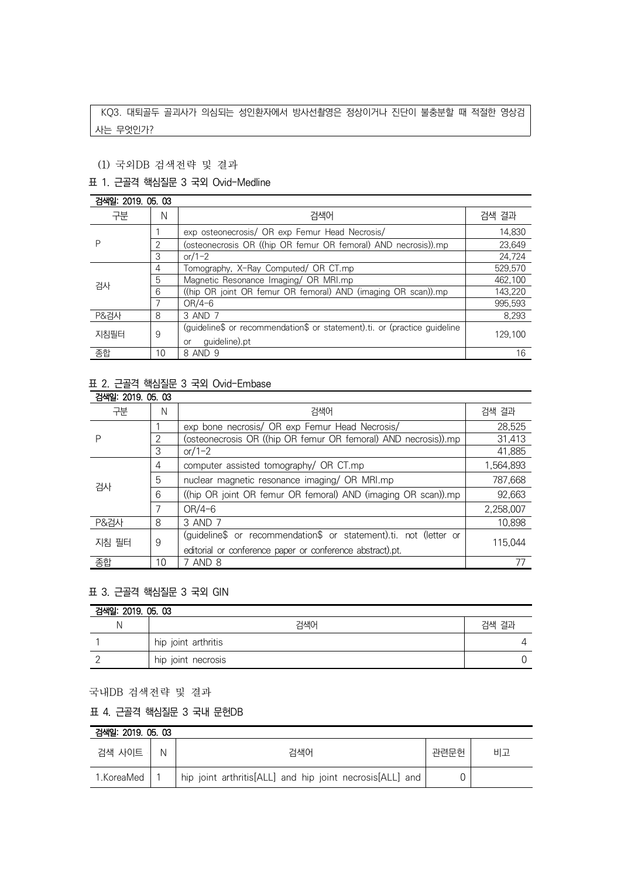# KQ3. 대퇴골두 골괴사가 의심되는 성인환자에서 방사선촬영은 정상이거나 진단이 불충분할 때 적절한 영상검 사는 무엇인가?

#### (1) 국외DB 검색전략 및 결과

## 표 1. 근골격 핵심질문 3 국외 Ovid-Medline

#### 검색일: 2019. 05. 03 구분 N 검색어 검색 결과 P 1 exp osteonecrosis/ OR exp Femur Head Necrosis/ 14,830 2 (osteonecrosis OR ((hip OR femur OR femoral) AND necrosis)).mp 23,649 3 or/1-2 24,724 검사 4 Tomography, X-Ray Computed/ OR CT.mp 529,570<br>
5 Magnetic Resonance Imaging/ OR MRI.mp 462,100 5 Magnetic Resonance Imaging/ OR MRI.mp 462,100<br>6 ((hip OR joint OR femur OR femoral) AND (imaging OR scan)).mp 143,220 6 ((hip OR joint OR femur OR femoral) AND (imaging OR scan)).mp<br>7 0R/4-6 7 OR/4-6 995,593 P&검사 | 8 | 3 AND 7 8,293 AND 7 8,293 AND 9 8,293 AND 9 8,293 AND 9 8,293 AND 9 8,293 AND 9 8,293 AND 9 8,293 AND 9 지침필터 9 (guideline\$ or recommendation\$ or statement).ti. or (practice guideline or guideline).pt 129,100 종합 10 | 8 AND 9 16 - 10 16 - 10 16 - 10 16 - 10 16 - 10 16 - 10 16 - 10 16 - 10 16 16 16 16 17 17 17 17 17 17 1

### 표 2. 근골격 핵심질문 3 국외 Ovid-Embase

| 검색일: 2019, 05, 03 |    |                                                                   |           |  |
|-------------------|----|-------------------------------------------------------------------|-----------|--|
| 구분                | N  | 검색어                                                               | 검색 결과     |  |
|                   |    | exp bone necrosis/ OR exp Femur Head Necrosis/                    | 28,525    |  |
|                   |    | (osteonecrosis OR ((hip OR femur OR femoral) AND necrosis)).mp    | 31,413    |  |
|                   | 3  | $or/1-2$                                                          | 41,885    |  |
| 검사                | 4  | computer assisted tomography/ OR CT.mp                            | 1,564,893 |  |
|                   | 5  | nuclear magnetic resonance imaging/ OR MRI.mp                     | 787,668   |  |
|                   | 6  | ((hip OR joint OR femur OR femoral) AND (imaging OR scan)).mp     | 92.663    |  |
|                   |    | $OR/4-6$                                                          | 2,258,007 |  |
| P&검사              | 8  | 3 AND 7                                                           | 10,898    |  |
| 지침 필터             | 9  | (guideline\$ or recommendation\$ or statement).ti. not (letter or | 115,044   |  |
|                   |    | editorial or conference paper or conference abstract).pt.         |           |  |
| 종합                | 10 | 7 AND 8                                                           |           |  |

# 표 3. 근골격 핵심질문 3 국외 GIN

| 검색일: 2019.05.03 |                     |       |  |  |
|-----------------|---------------------|-------|--|--|
| N               | 검색어                 | 검색 결과 |  |  |
|                 | hip joint arthritis |       |  |  |
|                 | hip joint necrosis  |       |  |  |

#### 국내DB 검색전략 및 결과

### 표 4. 근골격 핵심질문 3 국내 문헌DB

| 검색일: 2019, 05, 03 |  |                                                          |      |    |
|-------------------|--|----------------------------------------------------------|------|----|
| 검색 사이트            |  | 검색어                                                      | 과려무허 | 비고 |
| 1.KoreaMed        |  | hip joint arthritis[ALL] and hip joint necrosis[ALL] and |      |    |